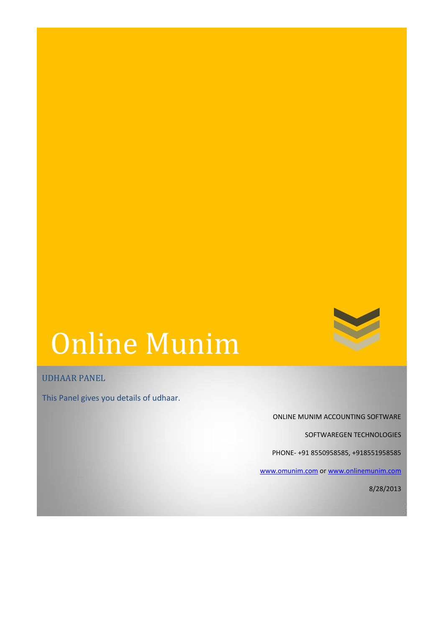## Online Munim

UDHAAR PANEL

This Panel gives you details of udhaar.

ONLINE MUNIM ACCOUNTING SOFTWARE

SOFTWAREGEN TECHNOLOGIES

PHONE- +91 8550958585, +918551958585

[www.omunim.com](http://www.omunim.com/) or [www.onlinemunim.com](http://www.onlinemunim.com/)

8/28/2013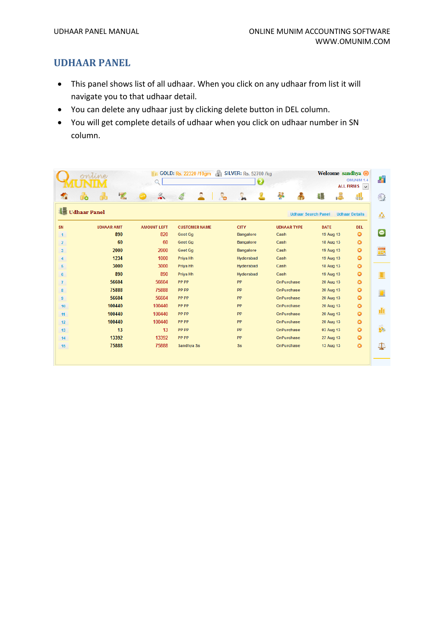## **UDHAAR PANEL**

- This panel shows list of all udhaar. When you click on any udhaar from list it will navigate you to that udhaar detail.
- You can delete any udhaar just by clicking delete button in DEL column.
- You will get complete details of udhaar when you click on udhaar number in SN column.

|                | ontine              | GOLD: Rs. 22320 /10gm<br>Welcome sandhya (O)<br><b>SILVER: Rs. 52700 /kg</b> |                      |                  |                            | OMUNIM 1.4<br>ALL FIRMS V |                       |
|----------------|---------------------|------------------------------------------------------------------------------|----------------------|------------------|----------------------------|---------------------------|-----------------------|
| ЪĤ             | $\mathbf{z}$<br>lo  |                                                                              |                      |                  | ¥                          | <u>j</u><br>倡             | 45                    |
| 锠              | <b>Udhaar Panel</b> |                                                                              |                      |                  | <b>Udhaar Search Panel</b> |                           | <b>Udhaar Details</b> |
| SN             | <b>UDHAAR AMT</b>   | <b>AMOUNT LEFT</b>                                                           | <b>CUSTOMER NAME</b> | <b>CITY</b>      | <b>UDHAAR TYPE</b>         | <b>DATE</b>               | <b>DEL</b>            |
| 1              | 890                 | 820                                                                          | Geet Gg              | <b>Bangalore</b> | Cash                       | 19 Aug 13                 | $\bullet$             |
| $\overline{2}$ | 60                  | 60                                                                           | <b>Geet Ga</b>       | <b>Bangalore</b> | Cash                       | 18 Aug 13                 | $\bullet$             |
| 3 <sup>7</sup> | 2000                | 2000                                                                         | Geet Gg              | <b>Bangalore</b> | Cash                       | 19 Aug 13                 | $\bullet$             |
| 4              | 1234                | 1000                                                                         | Priya Hh             | Hyderabad        | Cash                       | 19 Aug 13                 | $\bullet$             |
| 5              | 3000                | 3000                                                                         | Priya Hh             | Hyderabad        | Cash                       | <b>18 Aug 13</b>          | $\bullet$             |
| 6 <sup>1</sup> | 890                 | 890                                                                          | Priya Hh             | Hyderabad        | Cash                       | 19 Aug 13                 | $\bullet$             |
| $\mathbf{7}$   | 56604               | 56604                                                                        | <b>PP PP</b>         | PP               | <b>OnPurchase</b>          | 20 Aug 13                 | $\bullet$             |
| 8              | 75888               | 75888                                                                        | PP PP                | <b>PP</b>        | <b>OnPurchase</b>          | 20 Aug 13                 | $\bullet$             |
| 9              | 56604               | 56604                                                                        | <b>PP PP</b>         | <b>PP</b>        | <b>OnPurchase</b>          | 20 Aug 13                 | $\bullet$             |
| 10             | 100440              | 100440                                                                       | <b>PP PP</b>         | PP               | OnPurchase                 | 20 Aug 13                 | $\bullet$             |
| 11             | 100440              | 100440                                                                       | <b>PP PP</b>         | <b>PP</b>        | <b>OnPurchase</b>          | 20 Aug 13                 | $\bullet$             |
| 12             | 100440              | 100440                                                                       | <b>PP PP</b>         | <b>PP</b>        | <b>OnPurchase</b>          | 20 Aug 13                 | $\bullet$             |
| 13             | 13                  | 13                                                                           | PP PP                | <b>PP</b>        | <b>OnPurchase</b>          | 03 Aug 13                 | $\bullet$             |
| 14             | 13392               | 13392                                                                        | <b>PP PP</b>         | <b>PP</b>        | <b>OnPurchase</b>          | <b>27 Aug 13</b>          | $\bullet$             |
| 15             | 75888               | 75888                                                                        | Sandhya Ss           | Ss               | <b>OnPurchase</b>          | 13 Aug 13                 | $\bullet$             |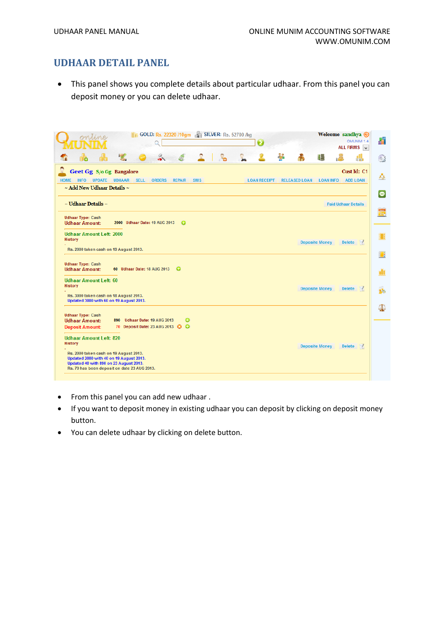## **UDHAAR DETAIL PANEL**

 This panel shows you complete details about particular udhaar. From this panel you can deposit money or you can delete udhaar.

| ontine                                                                                                                                                                      | GOLD: Rs. 22320 /10gm 3 SILVER: Rs. 52700 /kg               | Welcome sandhya (O<br>OMUNIM 1.4<br>0<br>ALL FIRMS V                                              | H                                           |
|-----------------------------------------------------------------------------------------------------------------------------------------------------------------------------|-------------------------------------------------------------|---------------------------------------------------------------------------------------------------|---------------------------------------------|
| 长                                                                                                                                                                           |                                                             | ķ<br><u>re</u><br>猖                                                                               | 4<br>$\begin{pmatrix} 0 \\ 0 \end{pmatrix}$ |
| Geet Gg S/o Gg Bangalore<br><b>HOME</b><br><b>INFO</b><br><b>UPDATE</b><br><b>UDHAAR</b>                                                                                    | <b>SELL</b><br><b>ORDERS</b><br><b>REPAIR</b><br><b>SMS</b> | Cust Id: C1<br><b>LOAN RECEIPT</b><br><b>ADD LOAN</b><br><b>RELEASED LOAN</b><br><b>LOAN INFO</b> | ΚÃ                                          |
| $\sim$ Add New Udhaar Details $\sim$                                                                                                                                        |                                                             |                                                                                                   | $\bullet$                                   |
| $\sim$ Udhaar Details $\sim$                                                                                                                                                |                                                             | <b>Paid Udhaar Details</b>                                                                        |                                             |
| <b>Udhaar Type: Cash</b><br><b>Udhaar Amount:</b>                                                                                                                           | 2000 Udhaar Date: 19 AUG 2013<br>$\bullet$                  |                                                                                                   | $\frac{1}{24}$                              |
| <b>Udhaar Amount Left: 2000</b><br><b>History</b>                                                                                                                           |                                                             | <b>Deposite Money</b><br>Delete $\mathcal{A}$                                                     | H                                           |
| Rs. 2000 taken cash on 19 August 2013.                                                                                                                                      |                                                             |                                                                                                   | $\Box$                                      |
| <b>Udhaar Type: Cash</b><br><b>Udhaar Amount:</b>                                                                                                                           | 60 Udhaar Date: 18 AUG 2013<br>$\bullet$                    |                                                                                                   | dî                                          |
| <b>Udhaar Amount Left: 60</b><br><b>History</b>                                                                                                                             |                                                             | <b>Deposite Money</b><br>Delete <b>1</b>                                                          | 結論                                          |
| Rs. 3000 taken cash on 18 August 2013.<br>Updated 3000 with 60 on 19 August 2013.                                                                                           |                                                             |                                                                                                   |                                             |
| <b>Udhaar Type: Cash</b><br><b>Udhaar Amount:</b><br>890                                                                                                                    | Udhaar Date: 19 AUG 2013<br>ౚ                               |                                                                                                   | ₽                                           |
| <b>Deposit Amount:</b>                                                                                                                                                      | 70 Deposit Date: 23 AUG 2013 3 3                            |                                                                                                   |                                             |
| <b>Udhaar Amount Left: 820</b><br>History                                                                                                                                   |                                                             | Delete $\mathcal{A}$<br><b>Deposite Money</b>                                                     |                                             |
| Rs. 2000 taken cash on 19 August 2013.<br>Updated 2000 with 40 on 19 August 2013.<br>Updated 40 with 890 on 23 August 2013.<br>Rs. 70 has been deposit on date 23 AUG 2013. |                                                             |                                                                                                   |                                             |

- From this panel you can add new udhaar.
- If you want to deposit money in existing udhaar you can deposit by clicking on deposit money button.
- You can delete udhaar by clicking on delete button.